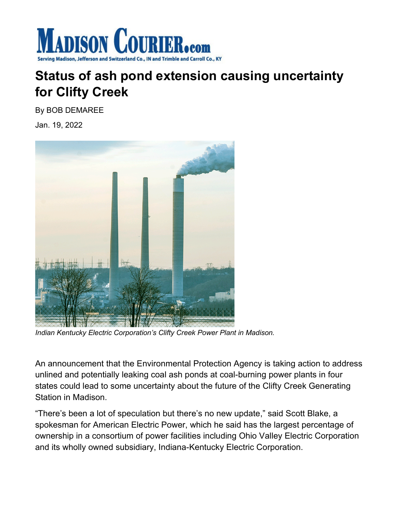

## **Status of ash pond extension causing uncertainty for Clifty Creek**

By BOB DEMAREE

Jan. 19, 2022



*Indian Kentucky Electric Corporation's Clifty Creek Power Plant in Madison.*

An announcement that the Environmental Protection Agency is taking action to address unlined and potentially leaking coal ash ponds at coal-burning power plants in four states could lead to some uncertainty about the future of the Clifty Creek Generating Station in Madison.

"There's been a lot of speculation but there's no new update," said Scott Blake, a spokesman for American Electric Power, which he said has the largest percentage of ownership in a consortium of power facilities including Ohio Valley Electric Corporation and its wholly owned subsidiary, Indiana-Kentucky Electric Corporation.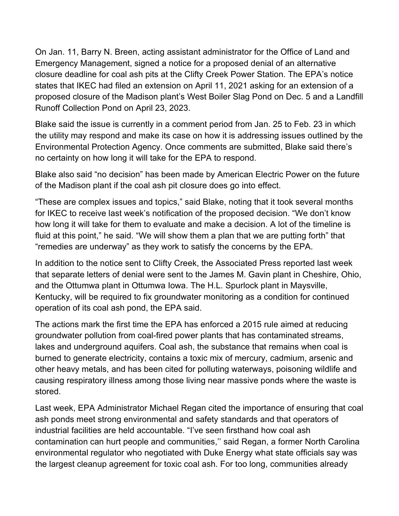On Jan. 11, Barry N. Breen, acting assistant administrator for the Office of Land and Emergency Management, signed a notice for a proposed denial of an alternative closure deadline for coal ash pits at the Clifty Creek Power Station. The EPA's notice states that IKEC had filed an extension on April 11, 2021 asking for an extension of a proposed closure of the Madison plant's West Boiler Slag Pond on Dec. 5 and a Landfill Runoff Collection Pond on April 23, 2023.

Blake said the issue is currently in a comment period from Jan. 25 to Feb. 23 in which the utility may respond and make its case on how it is addressing issues outlined by the Environmental Protection Agency. Once comments are submitted, Blake said there's no certainty on how long it will take for the EPA to respond.

Blake also said "no decision" has been made by American Electric Power on the future of the Madison plant if the coal ash pit closure does go into effect.

"These are complex issues and topics," said Blake, noting that it took several months for IKEC to receive last week's notification of the proposed decision. "We don't know how long it will take for them to evaluate and make a decision. A lot of the timeline is fluid at this point," he said. "We will show them a plan that we are putting forth" that "remedies are underway" as they work to satisfy the concerns by the EPA.

In addition to the notice sent to Clifty Creek, the Associated Press reported last week that separate letters of denial were sent to the James M. Gavin plant in Cheshire, Ohio, and the Ottumwa plant in Ottumwa Iowa. The H.L. Spurlock plant in Maysville, Kentucky, will be required to fix groundwater monitoring as a condition for continued operation of its coal ash pond, the EPA said.

The actions mark the first time the EPA has enforced a 2015 rule aimed at reducing groundwater pollution from coal-fired power plants that has contaminated streams, lakes and underground aquifers. Coal ash, the substance that remains when coal is burned to generate electricity, contains a toxic mix of mercury, cadmium, arsenic and other heavy metals, and has been cited for polluting waterways, poisoning wildlife and causing respiratory illness among those living near massive ponds where the waste is stored.

Last week, EPA Administrator Michael Regan cited the importance of ensuring that coal ash ponds meet strong environmental and safety standards and that operators of industrial facilities are held accountable. "I've seen firsthand how coal ash contamination can hurt people and communities,'' said Regan, a former North Carolina environmental regulator who negotiated with Duke Energy what state officials say was the largest cleanup agreement for toxic coal ash. For too long, communities already